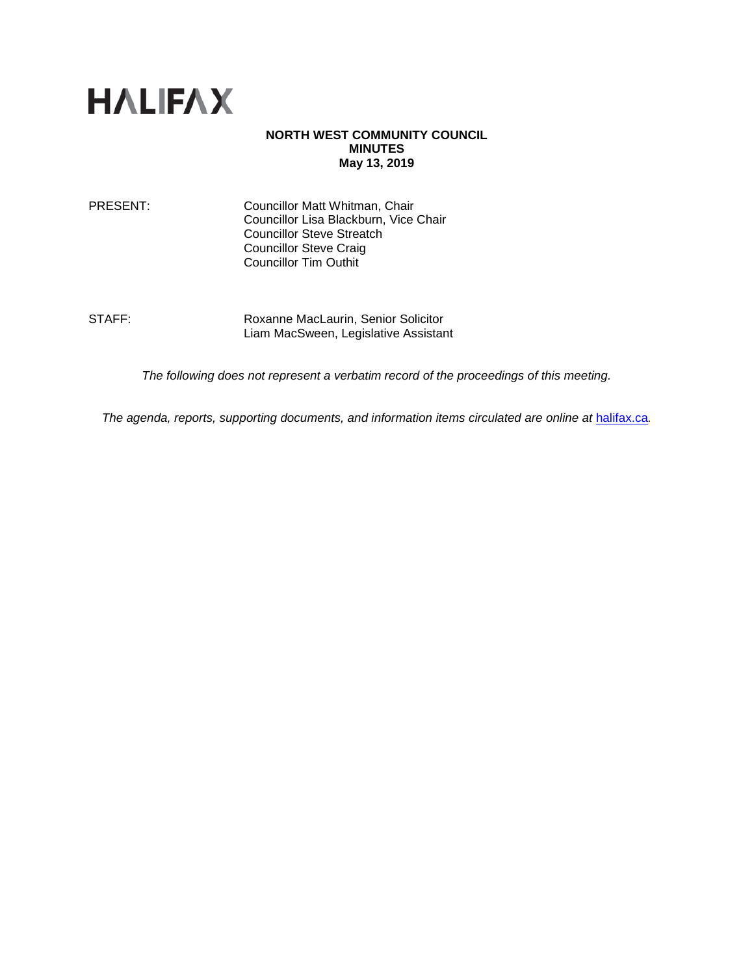

### **NORTH WEST COMMUNITY COUNCIL MINUTES May 13, 2019**

PRESENT: Councillor Matt Whitman, Chair Councillor Lisa Blackburn, Vice Chair Councillor Steve Streatch Councillor Steve Craig Councillor Tim Outhit

STAFF: Roxanne MacLaurin, Senior Solicitor Liam MacSween, Legislative Assistant

*The following does not represent a verbatim record of the proceedings of this meeting.*

*The agenda, reports, supporting documents, and information items circulated are online at [halifax.ca](http://www.halifax.ca/).*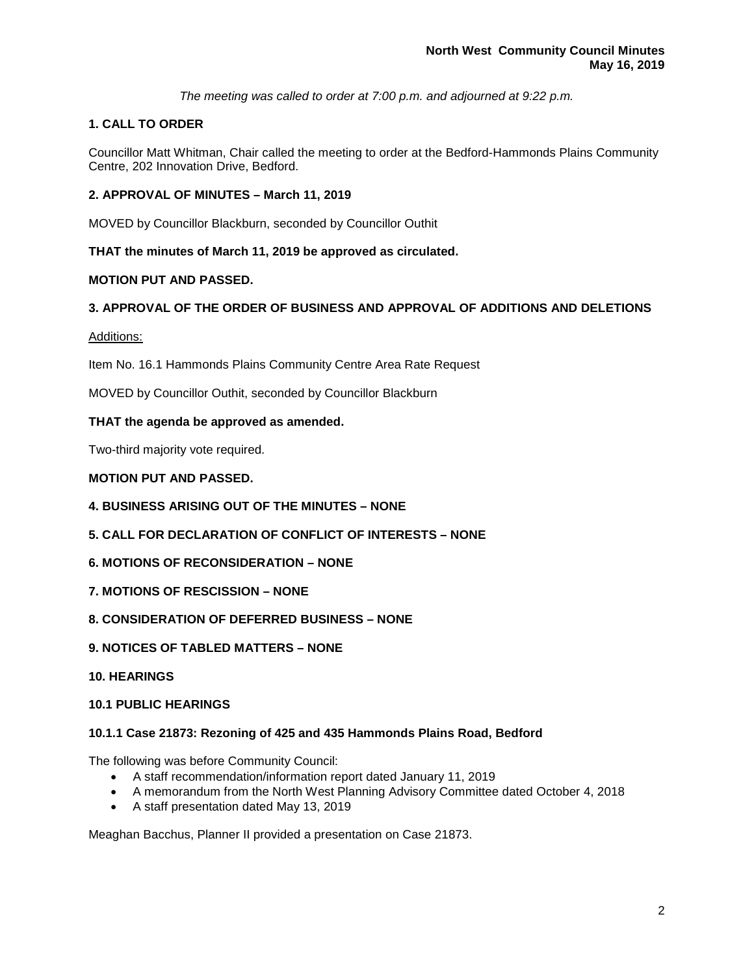*The meeting was called to order at 7:00 p.m. and adjourned at 9:22 p.m.*

# **1. CALL TO ORDER**

Councillor Matt Whitman, Chair called the meeting to order at the Bedford-Hammonds Plains Community Centre, 202 Innovation Drive, Bedford.

## **2. APPROVAL OF MINUTES – March 11, 2019**

MOVED by Councillor Blackburn, seconded by Councillor Outhit

## **THAT the minutes of March 11, 2019 be approved as circulated.**

## **MOTION PUT AND PASSED.**

## **3. APPROVAL OF THE ORDER OF BUSINESS AND APPROVAL OF ADDITIONS AND DELETIONS**

## Additions:

Item No. 16.1 Hammonds Plains Community Centre Area Rate Request

MOVED by Councillor Outhit, seconded by Councillor Blackburn

## **THAT the agenda be approved as amended.**

Two-third majority vote required.

## **MOTION PUT AND PASSED.**

- **4. BUSINESS ARISING OUT OF THE MINUTES – NONE**
- **5. CALL FOR DECLARATION OF CONFLICT OF INTERESTS – NONE**
- **6. MOTIONS OF RECONSIDERATION – NONE**
- **7. MOTIONS OF RESCISSION – NONE**
- **8. CONSIDERATION OF DEFERRED BUSINESS – NONE**
- **9. NOTICES OF TABLED MATTERS – NONE**
- **10. HEARINGS**

### **10.1 PUBLIC HEARINGS**

### **10.1.1 Case 21873: Rezoning of 425 and 435 Hammonds Plains Road, Bedford**

The following was before Community Council:

- A staff recommendation/information report dated January 11, 2019
- A memorandum from the North West Planning Advisory Committee dated October 4, 2018
- A staff presentation dated May 13, 2019

Meaghan Bacchus, Planner II provided a presentation on Case 21873.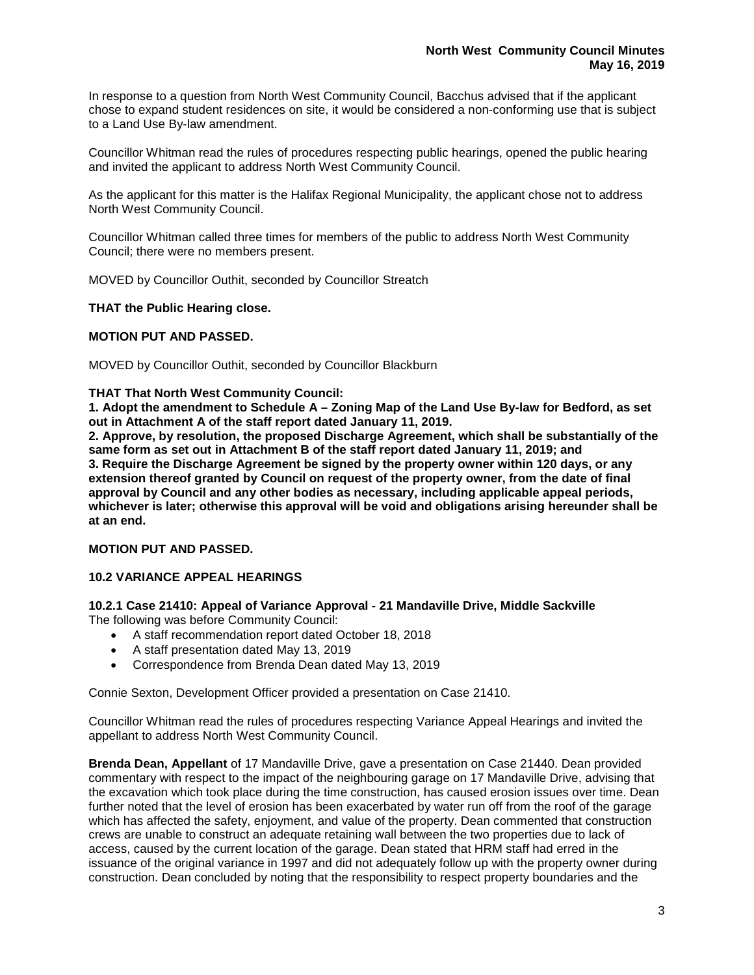In response to a question from North West Community Council, Bacchus advised that if the applicant chose to expand student residences on site, it would be considered a non-conforming use that is subject to a Land Use By-law amendment.

Councillor Whitman read the rules of procedures respecting public hearings, opened the public hearing and invited the applicant to address North West Community Council.

As the applicant for this matter is the Halifax Regional Municipality, the applicant chose not to address North West Community Council.

Councillor Whitman called three times for members of the public to address North West Community Council; there were no members present.

MOVED by Councillor Outhit, seconded by Councillor Streatch

### **THAT the Public Hearing close.**

### **MOTION PUT AND PASSED.**

MOVED by Councillor Outhit, seconded by Councillor Blackburn

#### **THAT That North West Community Council:**

**1. Adopt the amendment to Schedule A – Zoning Map of the Land Use By-law for Bedford, as set out in Attachment A of the staff report dated January 11, 2019.**

**2. Approve, by resolution, the proposed Discharge Agreement, which shall be substantially of the same form as set out in Attachment B of the staff report dated January 11, 2019; and 3. Require the Discharge Agreement be signed by the property owner within 120 days, or any extension thereof granted by Council on request of the property owner, from the date of final approval by Council and any other bodies as necessary, including applicable appeal periods, whichever is later; otherwise this approval will be void and obligations arising hereunder shall be at an end.**

### **MOTION PUT AND PASSED.**

### **10.2 VARIANCE APPEAL HEARINGS**

**10.2.1 Case 21410: Appeal of Variance Approval - 21 Mandaville Drive, Middle Sackville** The following was before Community Council:

- A staff recommendation report dated October 18, 2018
- A staff presentation dated May 13, 2019
- Correspondence from Brenda Dean dated May 13, 2019

Connie Sexton, Development Officer provided a presentation on Case 21410.

Councillor Whitman read the rules of procedures respecting Variance Appeal Hearings and invited the appellant to address North West Community Council.

**Brenda Dean, Appellant** of 17 Mandaville Drive, gave a presentation on Case 21440. Dean provided commentary with respect to the impact of the neighbouring garage on 17 Mandaville Drive, advising that the excavation which took place during the time construction, has caused erosion issues over time. Dean further noted that the level of erosion has been exacerbated by water run off from the roof of the garage which has affected the safety, enjoyment, and value of the property. Dean commented that construction crews are unable to construct an adequate retaining wall between the two properties due to lack of access, caused by the current location of the garage. Dean stated that HRM staff had erred in the issuance of the original variance in 1997 and did not adequately follow up with the property owner during construction. Dean concluded by noting that the responsibility to respect property boundaries and the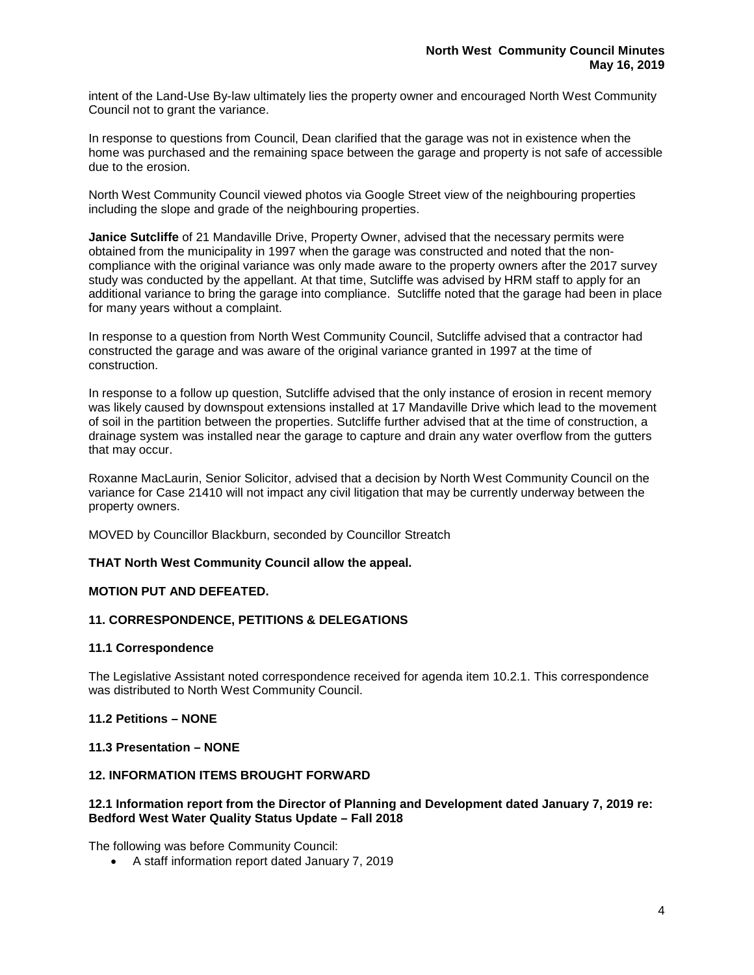intent of the Land-Use By-law ultimately lies the property owner and encouraged North West Community Council not to grant the variance.

In response to questions from Council, Dean clarified that the garage was not in existence when the home was purchased and the remaining space between the garage and property is not safe of accessible due to the erosion.

North West Community Council viewed photos via Google Street view of the neighbouring properties including the slope and grade of the neighbouring properties.

**Janice Sutcliffe** of 21 Mandaville Drive, Property Owner, advised that the necessary permits were obtained from the municipality in 1997 when the garage was constructed and noted that the noncompliance with the original variance was only made aware to the property owners after the 2017 survey study was conducted by the appellant. At that time, Sutcliffe was advised by HRM staff to apply for an additional variance to bring the garage into compliance. Sutcliffe noted that the garage had been in place for many years without a complaint.

In response to a question from North West Community Council, Sutcliffe advised that a contractor had constructed the garage and was aware of the original variance granted in 1997 at the time of construction.

In response to a follow up question, Sutcliffe advised that the only instance of erosion in recent memory was likely caused by downspout extensions installed at 17 Mandaville Drive which lead to the movement of soil in the partition between the properties. Sutcliffe further advised that at the time of construction, a drainage system was installed near the garage to capture and drain any water overflow from the gutters that may occur.

Roxanne MacLaurin, Senior Solicitor, advised that a decision by North West Community Council on the variance for Case 21410 will not impact any civil litigation that may be currently underway between the property owners.

MOVED by Councillor Blackburn, seconded by Councillor Streatch

### **THAT North West Community Council allow the appeal.**

### **MOTION PUT AND DEFEATED.**

### **11. CORRESPONDENCE, PETITIONS & DELEGATIONS**

### **11.1 Correspondence**

The Legislative Assistant noted correspondence received for agenda item 10.2.1. This correspondence was distributed to North West Community Council.

### **11.2 Petitions – NONE**

### **11.3 Presentation – NONE**

### **12. INFORMATION ITEMS BROUGHT FORWARD**

### **12.1 Information report from the Director of Planning and Development dated January 7, 2019 re: Bedford West Water Quality Status Update – Fall 2018**

The following was before Community Council:

• A staff information report dated January 7, 2019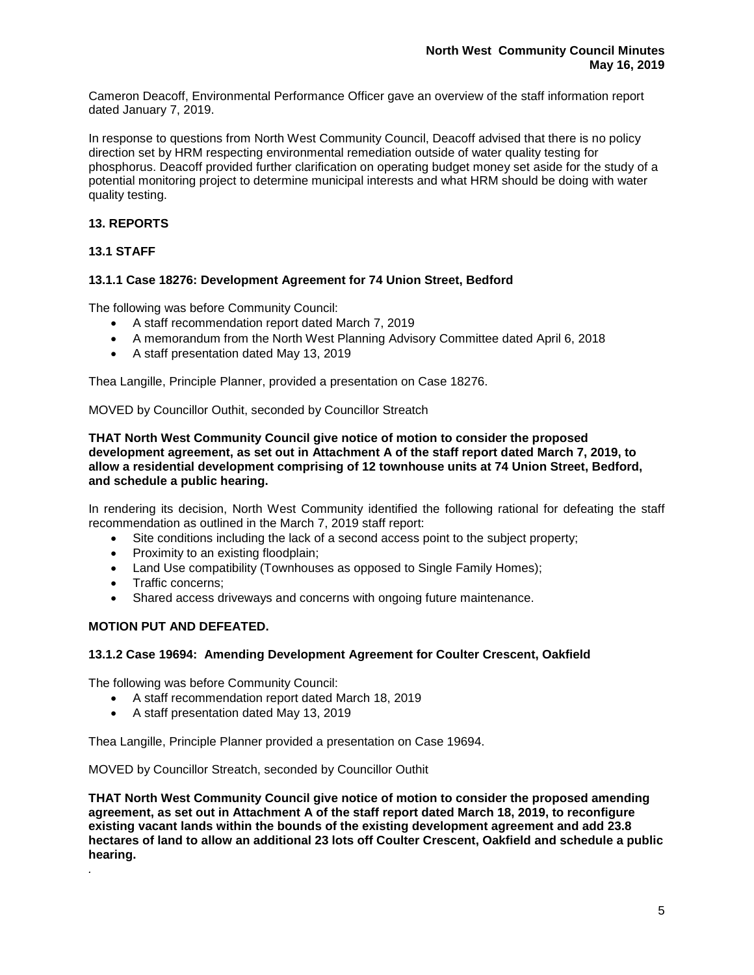Cameron Deacoff, Environmental Performance Officer gave an overview of the staff information report dated January 7, 2019.

In response to questions from North West Community Council, Deacoff advised that there is no policy direction set by HRM respecting environmental remediation outside of water quality testing for phosphorus. Deacoff provided further clarification on operating budget money set aside for the study of a potential monitoring project to determine municipal interests and what HRM should be doing with water quality testing.

## **13. REPORTS**

### **13.1 STAFF**

### **13.1.1 Case 18276: Development Agreement for 74 Union Street, Bedford**

The following was before Community Council:

- A staff recommendation report dated March 7, 2019
- A memorandum from the North West Planning Advisory Committee dated April 6, 2018
- A staff presentation dated May 13, 2019

Thea Langille, Principle Planner, provided a presentation on Case 18276.

MOVED by Councillor Outhit, seconded by Councillor Streatch

**THAT North West Community Council give notice of motion to consider the proposed development agreement, as set out in Attachment A of the staff report dated March 7, 2019, to allow a residential development comprising of 12 townhouse units at 74 Union Street, Bedford, and schedule a public hearing.**

In rendering its decision, North West Community identified the following rational for defeating the staff recommendation as outlined in the March 7, 2019 staff report:

- Site conditions including the lack of a second access point to the subject property;
- Proximity to an existing floodplain;
- Land Use compatibility (Townhouses as opposed to Single Family Homes);
- Traffic concerns;

*.*

• Shared access driveways and concerns with ongoing future maintenance.

### **MOTION PUT AND DEFEATED.**

### **13.1.2 Case 19694: Amending Development Agreement for Coulter Crescent, Oakfield**

The following was before Community Council:

- A staff recommendation report dated March 18, 2019
- A staff presentation dated May 13, 2019

Thea Langille, Principle Planner provided a presentation on Case 19694.

MOVED by Councillor Streatch, seconded by Councillor Outhit

**THAT North West Community Council give notice of motion to consider the proposed amending agreement, as set out in Attachment A of the staff report dated March 18, 2019, to reconfigure existing vacant lands within the bounds of the existing development agreement and add 23.8 hectares of land to allow an additional 23 lots off Coulter Crescent, Oakfield and schedule a public hearing.**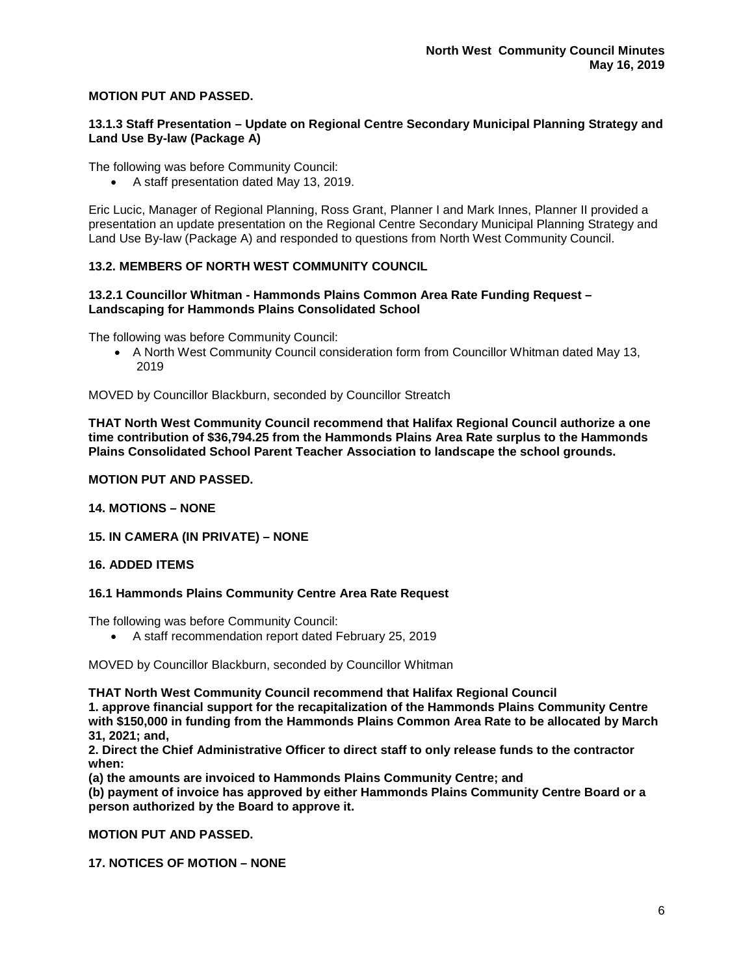### **MOTION PUT AND PASSED.**

### **13.1.3 Staff Presentation – Update on Regional Centre Secondary Municipal Planning Strategy and Land Use By-law (Package A)**

The following was before Community Council:

• A staff presentation dated May 13, 2019.

Eric Lucic, Manager of Regional Planning, Ross Grant, Planner I and Mark Innes, Planner II provided a presentation an update presentation on the Regional Centre Secondary Municipal Planning Strategy and Land Use By-law (Package A) and responded to questions from North West Community Council.

### **13.2. MEMBERS OF NORTH WEST COMMUNITY COUNCIL**

### **13.2.1 Councillor Whitman - Hammonds Plains Common Area Rate Funding Request – Landscaping for Hammonds Plains Consolidated School**

The following was before Community Council:

• A North West Community Council consideration form from Councillor Whitman dated May 13, 2019

MOVED by Councillor Blackburn, seconded by Councillor Streatch

**THAT North West Community Council recommend that Halifax Regional Council authorize a one time contribution of \$36,794.25 from the Hammonds Plains Area Rate surplus to the Hammonds Plains Consolidated School Parent Teacher Association to landscape the school grounds.**

### **MOTION PUT AND PASSED.**

### **14. MOTIONS – NONE**

### **15. IN CAMERA (IN PRIVATE) – NONE**

### **16. ADDED ITEMS**

### **16.1 Hammonds Plains Community Centre Area Rate Request**

The following was before Community Council:

• A staff recommendation report dated February 25, 2019

MOVED by Councillor Blackburn, seconded by Councillor Whitman

**THAT North West Community Council recommend that Halifax Regional Council**

**1. approve financial support for the recapitalization of the Hammonds Plains Community Centre with \$150,000 in funding from the Hammonds Plains Common Area Rate to be allocated by March 31, 2021; and,**

**2. Direct the Chief Administrative Officer to direct staff to only release funds to the contractor when:**

**(a) the amounts are invoiced to Hammonds Plains Community Centre; and**

**(b) payment of invoice has approved by either Hammonds Plains Community Centre Board or a person authorized by the Board to approve it.**

**MOTION PUT AND PASSED.**

**17. NOTICES OF MOTION – NONE**